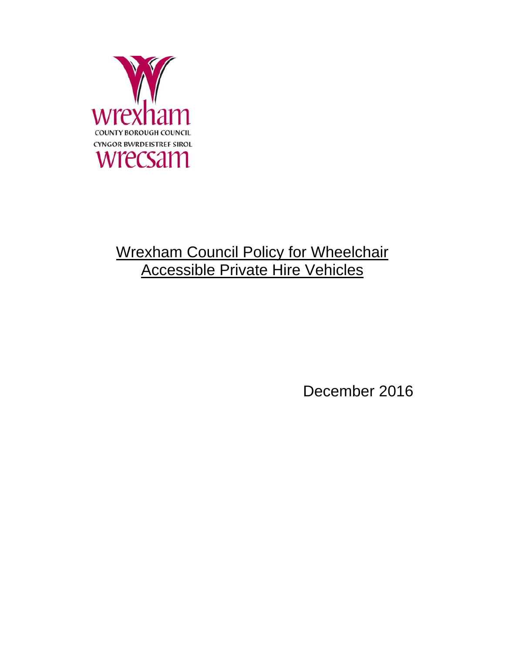

# Wrexham Council Policy for Wheelchair Accessible Private Hire Vehicles

December 2016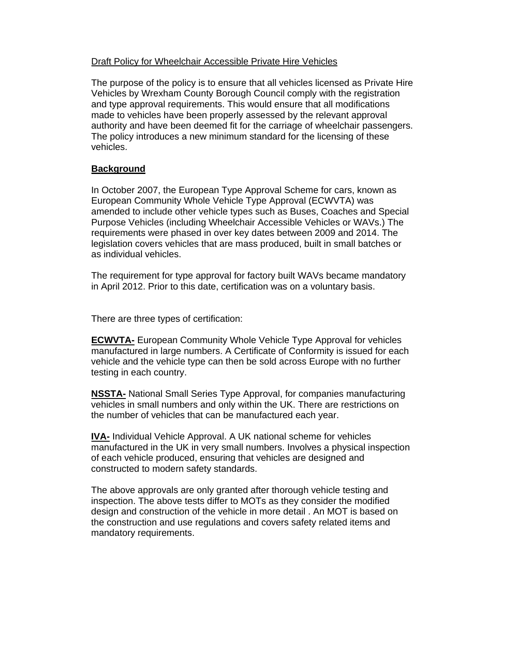## Draft Policy for Wheelchair Accessible Private Hire Vehicles

The purpose of the policy is to ensure that all vehicles licensed as Private Hire Vehicles by Wrexham County Borough Council comply with the registration and type approval requirements. This would ensure that all modifications made to vehicles have been properly assessed by the relevant approval authority and have been deemed fit for the carriage of wheelchair passengers. The policy introduces a new minimum standard for the licensing of these vehicles.

## **Background**

In October 2007, the European Type Approval Scheme for cars, known as European Community Whole Vehicle Type Approval (ECWVTA) was amended to include other vehicle types such as Buses, Coaches and Special Purpose Vehicles (including Wheelchair Accessible Vehicles or WAVs.) The requirements were phased in over key dates between 2009 and 2014. The legislation covers vehicles that are mass produced, built in small batches or as individual vehicles.

The requirement for type approval for factory built WAVs became mandatory in April 2012. Prior to this date, certification was on a voluntary basis.

There are three types of certification:

**ECWVTA-** European Community Whole Vehicle Type Approval for vehicles manufactured in large numbers. A Certificate of Conformity is issued for each vehicle and the vehicle type can then be sold across Europe with no further testing in each country.

**NSSTA-** National Small Series Type Approval, for companies manufacturing vehicles in small numbers and only within the UK. There are restrictions on the number of vehicles that can be manufactured each year.

**IVA-** Individual Vehicle Approval. A UK national scheme for vehicles manufactured in the UK in very small numbers. Involves a physical inspection of each vehicle produced, ensuring that vehicles are designed and constructed to modern safety standards.

The above approvals are only granted after thorough vehicle testing and inspection. The above tests differ to MOTs as they consider the modified design and construction of the vehicle in more detail . An MOT is based on the construction and use regulations and covers safety related items and mandatory requirements.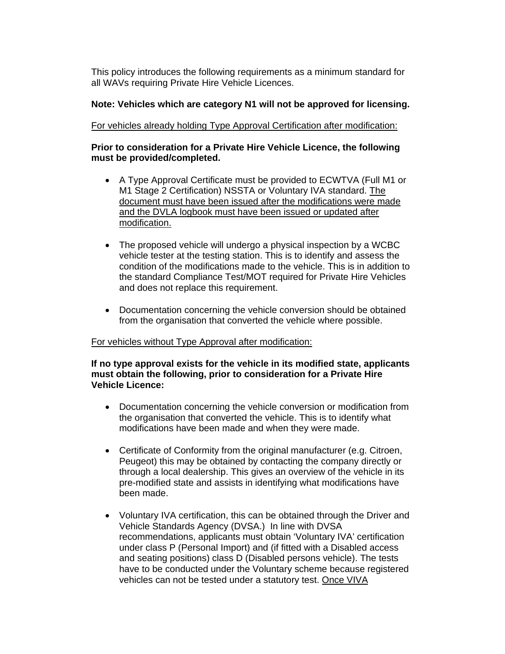This policy introduces the following requirements as a minimum standard for all WAVs requiring Private Hire Vehicle Licences.

### **Note: Vehicles which are category N1 will not be approved for licensing.**

For vehicles already holding Type Approval Certification after modification:

#### **Prior to consideration for a Private Hire Vehicle Licence, the following must be provided/completed.**

- A Type Approval Certificate must be provided to ECWTVA (Full M1 or M1 Stage 2 Certification) NSSTA or Voluntary IVA standard. The document must have been issued after the modifications were made and the DVLA logbook must have been issued or updated after modification.
- The proposed vehicle will undergo a physical inspection by a WCBC vehicle tester at the testing station. This is to identify and assess the condition of the modifications made to the vehicle. This is in addition to the standard Compliance Test/MOT required for Private Hire Vehicles and does not replace this requirement.
- Documentation concerning the vehicle conversion should be obtained from the organisation that converted the vehicle where possible.

#### For vehicles without Type Approval after modification:

**If no type approval exists for the vehicle in its modified state, applicants must obtain the following, prior to consideration for a Private Hire Vehicle Licence:** 

- Documentation concerning the vehicle conversion or modification from the organisation that converted the vehicle. This is to identify what modifications have been made and when they were made.
- Certificate of Conformity from the original manufacturer (e.g. Citroen, Peugeot) this may be obtained by contacting the company directly or through a local dealership. This gives an overview of the vehicle in its pre-modified state and assists in identifying what modifications have been made.
- Voluntary IVA certification, this can be obtained through the Driver and Vehicle Standards Agency (DVSA.) In line with DVSA recommendations, applicants must obtain 'Voluntary IVA' certification under class P (Personal Import) and (if fitted with a Disabled access and seating positions) class D (Disabled persons vehicle). The tests have to be conducted under the Voluntary scheme because registered vehicles can not be tested under a statutory test. Once VIVA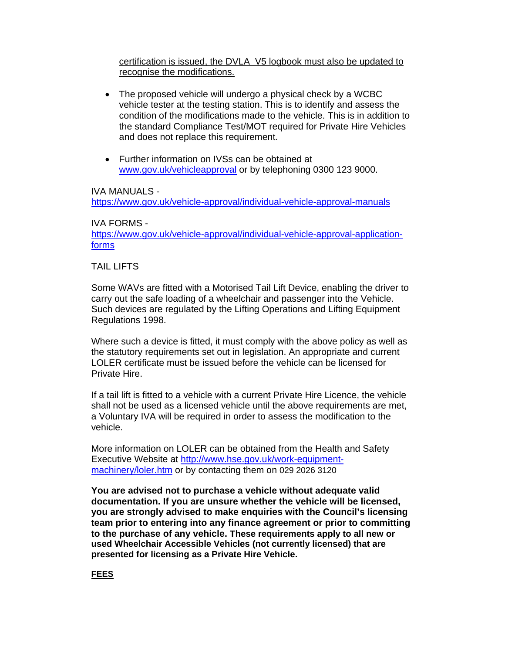certification is issued, the DVLA V5 logbook must also be updated to recognise the modifications.

- The proposed vehicle will undergo a physical check by a WCBC vehicle tester at the testing station. This is to identify and assess the condition of the modifications made to the vehicle. This is in addition to the standard Compliance Test/MOT required for Private Hire Vehicles and does not replace this requirement.
- Further information on IVSs can be obtained at <www.gov.uk/vehicleapproval> or by telephoning 0300 123 9000.

### IVA MANUALS -

<https://www.gov.uk/vehicle-approval/individual-vehicle-approval-manuals>

#### IVA FORMS -

<https://www.gov.uk/vehicle-approval/individual-vehicle-approval-application>forms

### TAIL LIFTS

 Some WAVs are fitted with a Motorised Tail Lift Device, enabling the driver to carry out the safe loading of a wheelchair and passenger into the Vehicle. Such devices are regulated by the Lifting Operations and Lifting Equipment Regulations 1998.

 LOLER certificate must be issued before the vehicle can be licensed for Where such a device is fitted, it must comply with the above policy as well as the statutory requirements set out in legislation. An appropriate and current Private Hire.

 If a tail lift is fitted to a vehicle with a current Private Hire Licence, the vehicle shall not be used as a licensed vehicle until the above requirements are met, a Voluntary IVA will be required in order to assess the modification to the vehicle.

More information on LOLER can be obtained from the Health and Safety Executive Website at<http://www.hse.gov.uk/work-equipment>machinery/loler.htm or by contacting them on 029 2026 3120

 **You are advised not to purchase a vehicle without adequate valid to the purchase of any vehicle. These requirements apply to all new or used Wheelchair Accessible Vehicles (not currently licensed) that are documentation. If you are unsure whether the vehicle will be licensed, you are strongly advised to make enquiries with the Council's licensing team prior to entering into any finance agreement or prior to committing presented for licensing as a Private Hire Vehicle.** 

**FEES**